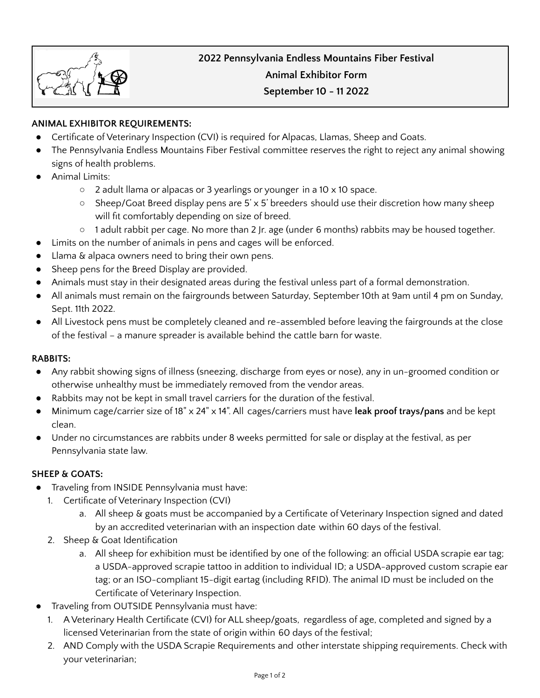# **2022 Pennsylvania Endless Mountains Fiber Festival Animal Exhibitor Form September 10 - 11 2022**

# **ANIMAL EXHIBITOR REQUIREMENTS:**

- Certificate of Veterinary Inspection (CVI) is required for Alpacas, Llamas, Sheep and Goats.
- The Pennsylvania Endless Mountains Fiber Festival committee reserves the right to reject any animal showing signs of health problems.
- **Animal Limits:** 
	- 2 adult llama or alpacas or 3 yearlings or younger in a 10 x 10 space.
	- Sheep/Goat Breed display pens are 5'  $\times$  5' breeders should use their discretion how many sheep will fit comfortably depending on size of breed.
	- 1 adult rabbit per cage. No more than 2 Jr. age (under 6 months) rabbits may be housed together.
- Limits on the number of animals in pens and cages will be enforced.
- Llama & alpaca owners need to bring their own pens.
- Sheep pens for the Breed Display are provided.
- Animals must stay in their designated areas during the festival unless part of a formal demonstration.
- All animals must remain on the fairgrounds between Saturday, September 10th at 9am until 4 pm on Sunday, Sept. 11th 2022.
- All Livestock pens must be completely cleaned and re-assembled before leaving the fairgrounds at the close of the festival – a manure spreader is available behind the cattle barn for waste.

## **RABBITS:**

- Any rabbit showing signs of illness (sneezing, discharge from eyes or nose), any in un-groomed condition or otherwise unhealthy must be immediately removed from the vendor areas.
- Rabbits may not be kept in small travel carriers for the duration of the festival.
- Minimum cage/carrier size of 18" x 24" x 14". All cages/carriers must have **leak proof trays/pans** and be kept clean.
- Under no circumstances are rabbits under 8 weeks permitted for sale or display at the festival, as per Pennsylvania state law.

## **SHEEP & GOATS:**

- Traveling from INSIDE Pennsylvania must have:
	- 1. Certificate of Veterinary Inspection (CVI)
		- a. All sheep & goats must be accompanied by a Certificate of Veterinary Inspection signed and dated by an accredited veterinarian with an inspection date within 60 days of the festival.
	- 2. Sheep & Goat Identification
		- a. All sheep for exhibition must be identified by one of the following: an official USDA scrapie ear tag; a USDA-approved scrapie tattoo in addition to individual ID; a USDA-approved custom scrapie ear tag; or an ISO-compliant 15-digit eartag (including RFID). The animal ID must be included on the Certificate of Veterinary Inspection.
- Traveling from OUTSIDE Pennsylvania must have:
	- 1. A Veterinary Health Certificate (CVI) for ALL sheep/goats, regardless of age, completed and signed by a licensed Veterinarian from the state of origin within 60 days of the festival;
	- 2. AND Comply with the USDA Scrapie Requirements and other interstate shipping requirements. Check with your veterinarian;